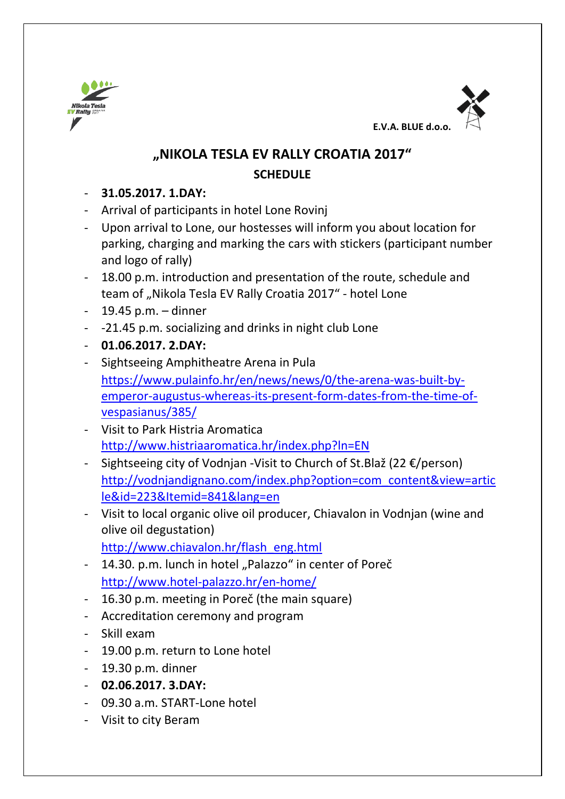



## **"NIKOLA TESLA EV RALLY CROATIA 2017" SCHEDULE**

## - **31.05.2017. 1.DAY:**

- Arrival of participants in hotel Lone Rovinj
- Upon arrival to Lone, our hostesses will inform you about location for parking, charging and marking the cars with stickers (participant number and logo of rally)
- 18.00 p.m. introduction and presentation of the route, schedule and team of "Nikola Tesla EV Rally Croatia 2017" - hotel Lone
- 19.45 p.m. dinner
- -21.45 p.m. socializing and drinks in night club Lone
- **01.06.2017. 2.DAY:**
- Sightseeing Amphitheatre Arena in Pula [https://www.pulainfo.hr/en/news/news/0/the-arena-was-built-by](https://www.pulainfo.hr/en/news/news/0/the-arena-was-built-by-emperor-augustus-whereas-its-present-form-dates-from-the-time-of-vespasianus/385/)[emperor-augustus-whereas-its-present-form-dates-from-the-time-of](https://www.pulainfo.hr/en/news/news/0/the-arena-was-built-by-emperor-augustus-whereas-its-present-form-dates-from-the-time-of-vespasianus/385/)[vespasianus/385/](https://www.pulainfo.hr/en/news/news/0/the-arena-was-built-by-emperor-augustus-whereas-its-present-form-dates-from-the-time-of-vespasianus/385/)
- Visit to Park Histria Aromatica <http://www.histriaaromatica.hr/index.php?ln=EN>
- Sightseeing city of Vodnjan -Visit to Church of St.Blaž (22 €/person) [http://vodnjandignano.com/index.php?option=com\\_content&view=artic](http://vodnjandignano.com/index.php?option=com_content&view=article&id=223&Itemid=841&lang=en) [le&id=223&Itemid=841&lang=en](http://vodnjandignano.com/index.php?option=com_content&view=article&id=223&Itemid=841&lang=en)
- Visit to local organic olive oil producer, Chiavalon in Vodnjan (wine and olive oil degustation)
	- [http://www.chiavalon.hr/flash\\_eng.html](http://www.chiavalon.hr/flash_eng.html)
- 14.30. p.m. lunch in hotel "Palazzo" in center of Poreč <http://www.hotel-palazzo.hr/en-home/>
- 16.30 p.m. meeting in Poreč (the main square)
- Accreditation ceremony and program
- Skill exam
- 19.00 p.m. return to Lone hotel
- 19.30 p.m. dinner
- **02.06.2017. 3.DAY:**
- 09.30 a.m. START-Lone hotel
- Visit to city Beram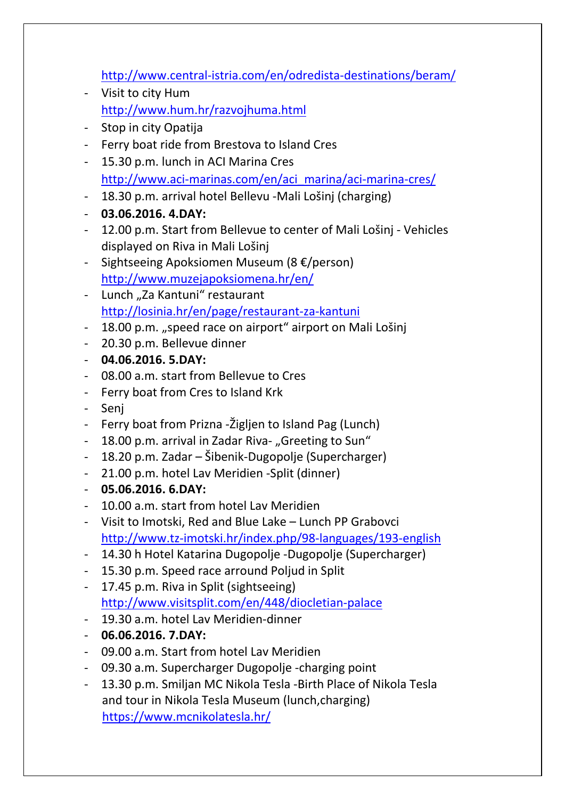<http://www.central-istria.com/en/odredista-destinations/beram/>

- Visit to city Hum <http://www.hum.hr/razvojhuma.html>
- Stop in city Opatija
- Ferry boat ride from Brestova to Island Cres
- 15.30 p.m. lunch in ACI Marina Cres [http://www.aci-marinas.com/en/aci\\_marina/aci-marina-cres/](http://www.aci-marinas.com/en/aci_marina/aci-marina-cres/)
- 18.30 p.m. arrival hotel Bellevu -Mali Lošinj (charging)
- **03.06.2016. 4.DAY:**
- 12.00 p.m. Start from Bellevue to center of Mali Lošinj Vehicles displayed on Riva in Mali Lošinj
- Sightseeing Apoksiomen Museum (8 €/person) <http://www.muzejapoksiomena.hr/en/>
- Lunch "Za Kantuni" restaurant <http://losinia.hr/en/page/restaurant-za-kantuni>
- 18.00 p.m. "speed race on airport" airport on Mali Lošini
- 20.30 p.m. Bellevue dinner
- **04.06.2016. 5.DAY:**
- 08.00 a.m. start from Bellevue to Cres
- Ferry boat from Cres to Island Krk
- Senj
- Ferry boat from Prizna -Žigljen to Island Pag (Lunch)
- 18.00 p.m. arrival in Zadar Riva- "Greeting to Sun"
- 18.20 p.m. Zadar Šibenik-Dugopolje (Supercharger)
- 21.00 p.m. hotel Lav Meridien -Split (dinner)
- **05.06.2016. 6.DAY:**
- 10.00 a.m. start from hotel Lav Meridien
- Visit to Imotski, Red and Blue Lake Lunch PP Grabovci <http://www.tz-imotski.hr/index.php/98-languages/193-english>
- 14.30 h Hotel Katarina Dugopolje -Dugopolje (Supercharger)
- 15.30 p.m. Speed race arround Poljud in Split
- 17.45 p.m. Riva in Split (sightseeing) <http://www.visitsplit.com/en/448/diocletian-palace>
- 19.30 a.m. hotel Lav Meridien-dinner
- **06.06.2016. 7.DAY:**
- 09.00 a.m. Start from hotel Lav Meridien
- 09.30 a.m. Supercharger Dugopolje -charging point
- 13.30 p.m. Smiljan MC Nikola Tesla -Birth Place of Nikola Tesla and tour in Nikola Tesla Museum (lunch,charging) <https://www.mcnikolatesla.hr/>